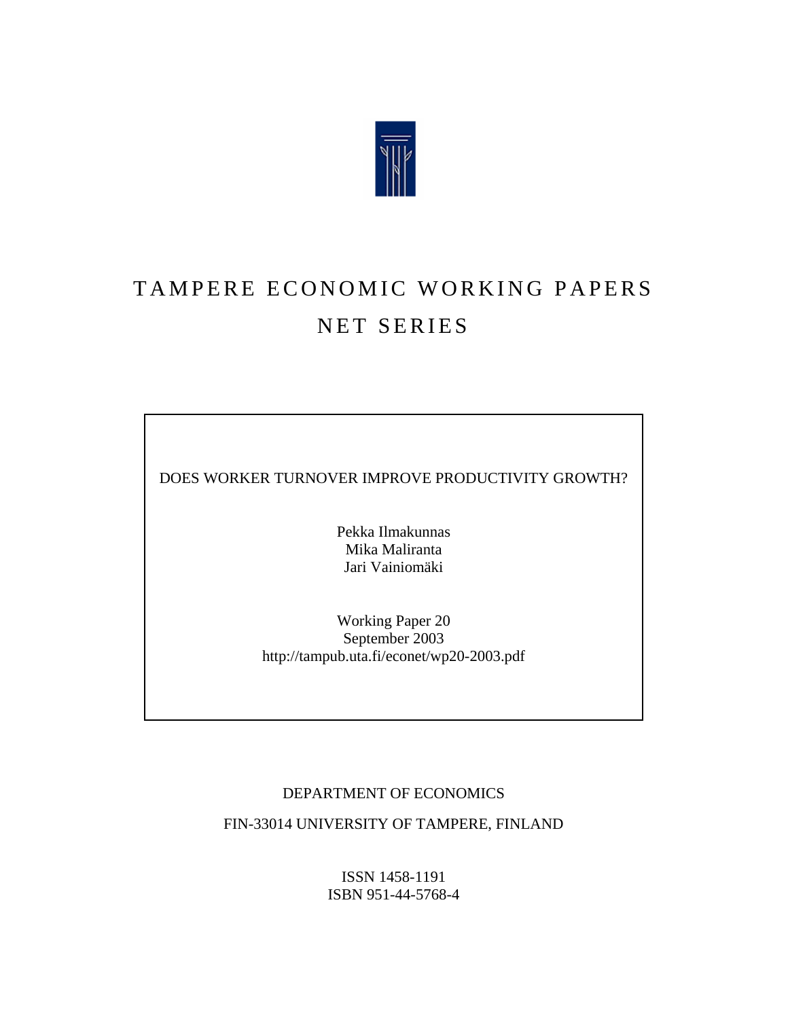

# TAMPERE ECONOMIC WORKING PAPERS NET SERIES

DOES WORKER TURNOVER IMPROVE PRODUCTIVITY GROWTH?

Pekka Ilmakunnas Mika Maliranta Jari Vainiomäki

Working Paper 20 September 2003 http://tampub.uta.fi/econet/wp20-2003.pdf

## DEPARTMENT OF ECONOMICS

FIN-33014 UNIVERSITY OF TAMPERE, FINLAND

ISSN 1458-1191 ISBN 951-44-5768-4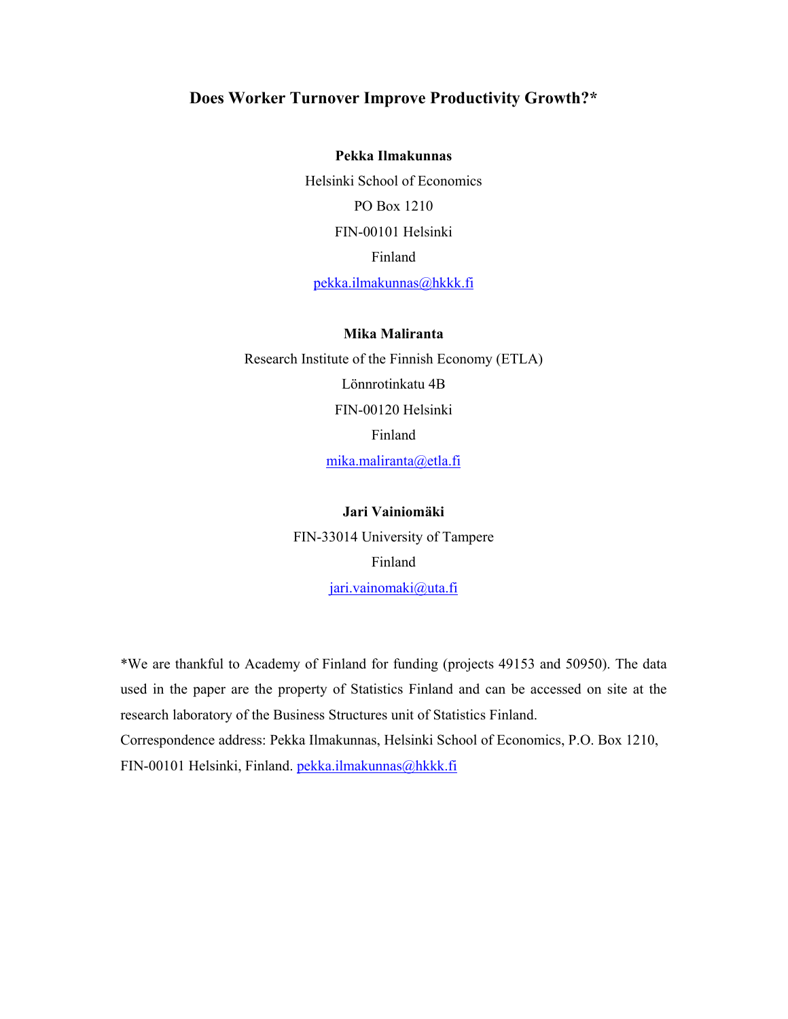## **Does Worker Turnover Improve Productivity Growth?\***

**Pekka Ilmakunnas** Helsinki School of Economics PO Box 1210 FIN-00101 Helsinki Finland pekka.ilmakunnas@hkkk.fi

#### **Mika Maliranta**

Research Institute of the Finnish Economy (ETLA) Lönnrotinkatu 4B FIN-00120 Helsinki Finland mika.maliranta@etla.fi

# **Jari Vainiomäki**

FIN-33014 University of Tampere Finland jari.vainomaki@uta.fi

\*We are thankful to Academy of Finland for funding (projects 49153 and 50950). The data used in the paper are the property of Statistics Finland and can be accessed on site at the research laboratory of the Business Structures unit of Statistics Finland. Correspondence address: Pekka Ilmakunnas, Helsinki School of Economics, P.O. Box 1210, FIN-00101 Helsinki, Finland. pekka.ilmakunnas@hkkk.fi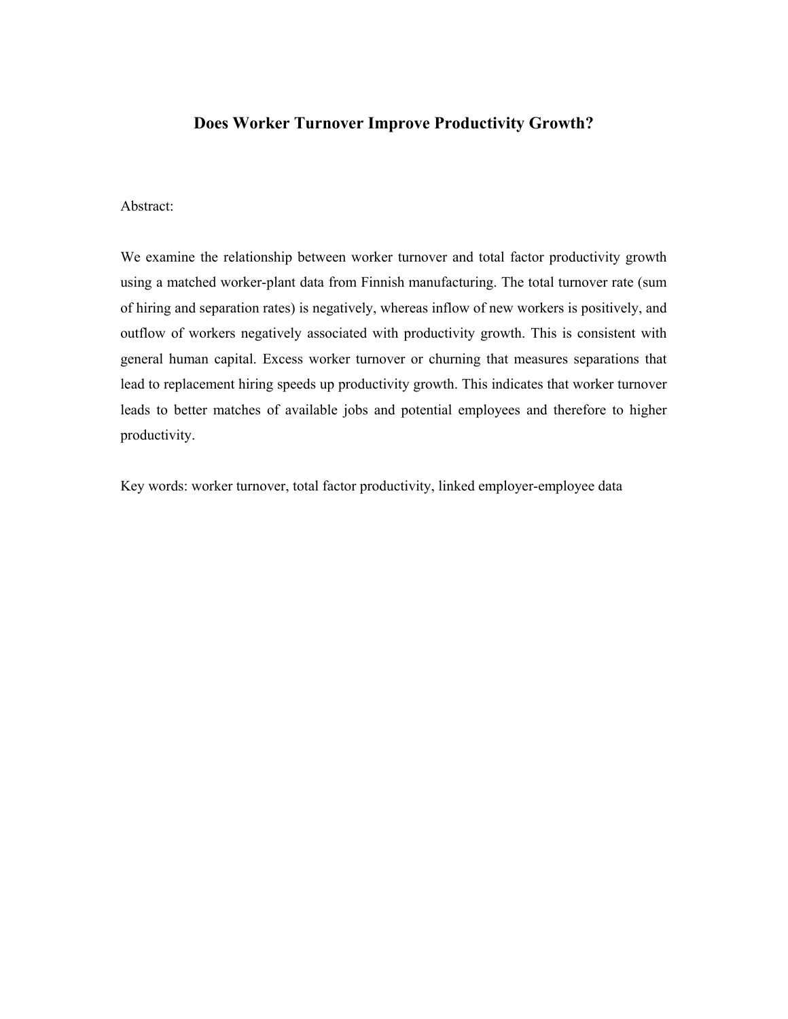# **Does Worker Turnover Improve Productivity Growth?**

## Abstract:

We examine the relationship between worker turnover and total factor productivity growth using a matched worker-plant data from Finnish manufacturing. The total turnover rate (sum of hiring and separation rates) is negatively, whereas inflow of new workers is positively, and outflow of workers negatively associated with productivity growth. This is consistent with general human capital. Excess worker turnover or churning that measures separations that lead to replacement hiring speeds up productivity growth. This indicates that worker turnover leads to better matches of available jobs and potential employees and therefore to higher productivity.

Key words: worker turnover, total factor productivity, linked employer-employee data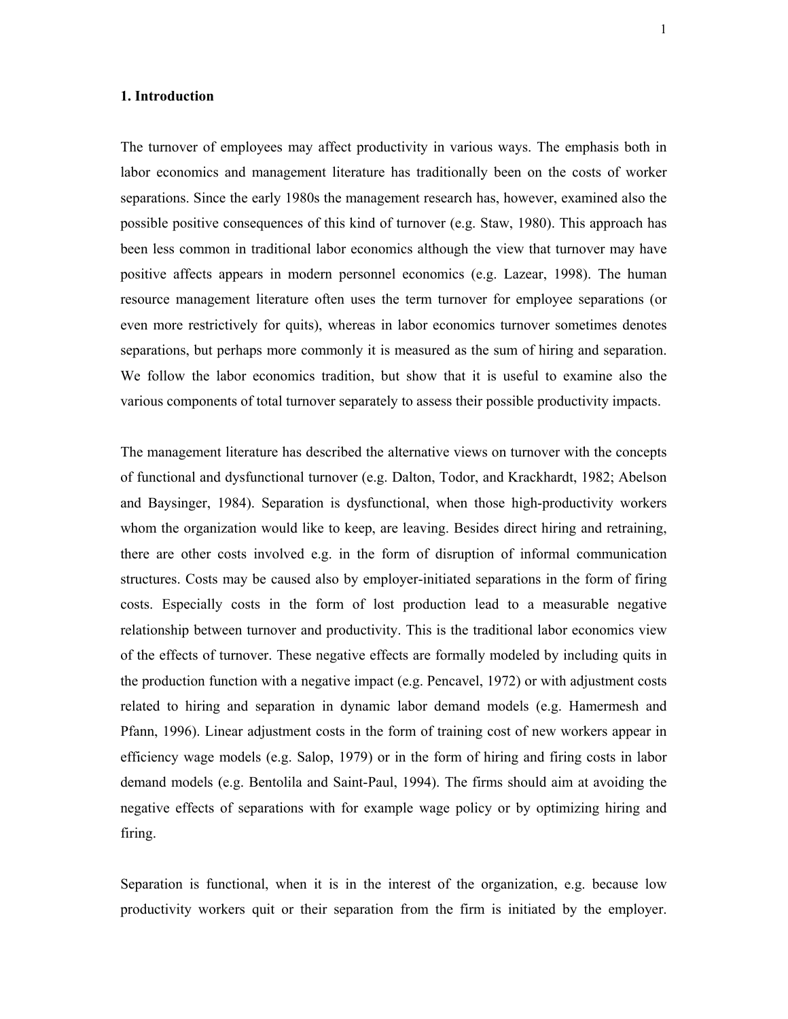#### **1. Introduction**

The turnover of employees may affect productivity in various ways. The emphasis both in labor economics and management literature has traditionally been on the costs of worker separations. Since the early 1980s the management research has, however, examined also the possible positive consequences of this kind of turnover (e.g. Staw, 1980). This approach has been less common in traditional labor economics although the view that turnover may have positive affects appears in modern personnel economics (e.g. Lazear, 1998). The human resource management literature often uses the term turnover for employee separations (or even more restrictively for quits), whereas in labor economics turnover sometimes denotes separations, but perhaps more commonly it is measured as the sum of hiring and separation. We follow the labor economics tradition, but show that it is useful to examine also the various components of total turnover separately to assess their possible productivity impacts.

The management literature has described the alternative views on turnover with the concepts of functional and dysfunctional turnover (e.g. Dalton, Todor, and Krackhardt, 1982; Abelson and Baysinger, 1984). Separation is dysfunctional, when those high-productivity workers whom the organization would like to keep, are leaving. Besides direct hiring and retraining, there are other costs involved e.g. in the form of disruption of informal communication structures. Costs may be caused also by employer-initiated separations in the form of firing costs. Especially costs in the form of lost production lead to a measurable negative relationship between turnover and productivity. This is the traditional labor economics view of the effects of turnover. These negative effects are formally modeled by including quits in the production function with a negative impact (e.g. Pencavel, 1972) or with adjustment costs related to hiring and separation in dynamic labor demand models (e.g. Hamermesh and Pfann, 1996). Linear adjustment costs in the form of training cost of new workers appear in efficiency wage models (e.g. Salop, 1979) or in the form of hiring and firing costs in labor demand models (e.g. Bentolila and Saint-Paul, 1994). The firms should aim at avoiding the negative effects of separations with for example wage policy or by optimizing hiring and firing.

Separation is functional, when it is in the interest of the organization, e.g. because low productivity workers quit or their separation from the firm is initiated by the employer.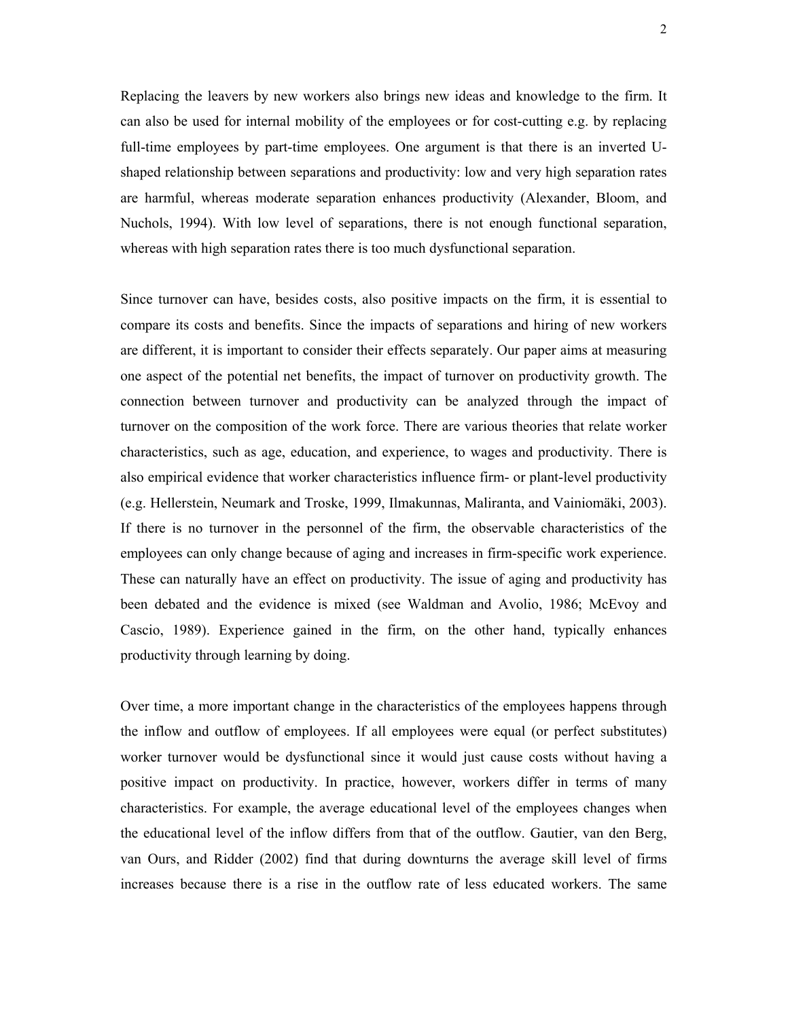Replacing the leavers by new workers also brings new ideas and knowledge to the firm. It can also be used for internal mobility of the employees or for cost-cutting e.g. by replacing full-time employees by part-time employees. One argument is that there is an inverted Ushaped relationship between separations and productivity: low and very high separation rates are harmful, whereas moderate separation enhances productivity (Alexander, Bloom, and Nuchols, 1994). With low level of separations, there is not enough functional separation, whereas with high separation rates there is too much dysfunctional separation.

Since turnover can have, besides costs, also positive impacts on the firm, it is essential to compare its costs and benefits. Since the impacts of separations and hiring of new workers are different, it is important to consider their effects separately. Our paper aims at measuring one aspect of the potential net benefits, the impact of turnover on productivity growth. The connection between turnover and productivity can be analyzed through the impact of turnover on the composition of the work force. There are various theories that relate worker characteristics, such as age, education, and experience, to wages and productivity. There is also empirical evidence that worker characteristics influence firm- or plant-level productivity (e.g. Hellerstein, Neumark and Troske, 1999, Ilmakunnas, Maliranta, and Vainiomäki, 2003). If there is no turnover in the personnel of the firm, the observable characteristics of the employees can only change because of aging and increases in firm-specific work experience. These can naturally have an effect on productivity. The issue of aging and productivity has been debated and the evidence is mixed (see Waldman and Avolio, 1986; McEvoy and Cascio, 1989). Experience gained in the firm, on the other hand, typically enhances productivity through learning by doing.

Over time, a more important change in the characteristics of the employees happens through the inflow and outflow of employees. If all employees were equal (or perfect substitutes) worker turnover would be dysfunctional since it would just cause costs without having a positive impact on productivity. In practice, however, workers differ in terms of many characteristics. For example, the average educational level of the employees changes when the educational level of the inflow differs from that of the outflow. Gautier, van den Berg, van Ours, and Ridder (2002) find that during downturns the average skill level of firms increases because there is a rise in the outflow rate of less educated workers. The same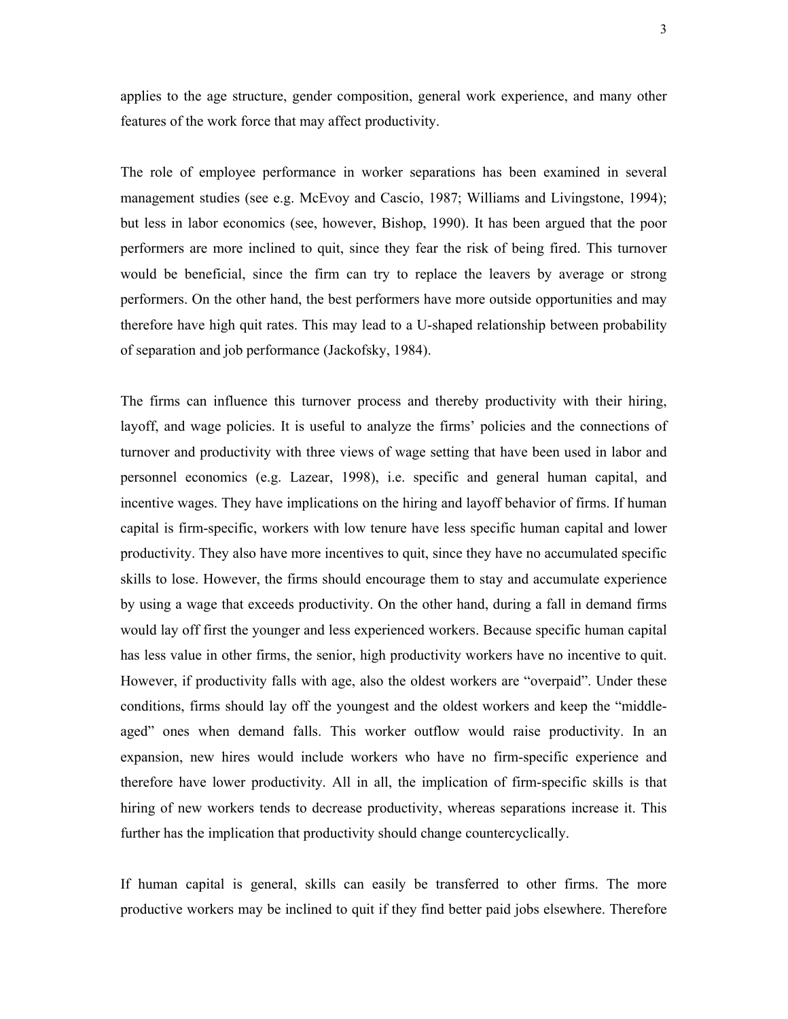applies to the age structure, gender composition, general work experience, and many other features of the work force that may affect productivity.

The role of employee performance in worker separations has been examined in several management studies (see e.g. McEvoy and Cascio, 1987; Williams and Livingstone, 1994); but less in labor economics (see, however, Bishop, 1990). It has been argued that the poor performers are more inclined to quit, since they fear the risk of being fired. This turnover would be beneficial, since the firm can try to replace the leavers by average or strong performers. On the other hand, the best performers have more outside opportunities and may therefore have high quit rates. This may lead to a U-shaped relationship between probability of separation and job performance (Jackofsky, 1984).

The firms can influence this turnover process and thereby productivity with their hiring, layoff, and wage policies. It is useful to analyze the firms' policies and the connections of turnover and productivity with three views of wage setting that have been used in labor and personnel economics (e.g. Lazear, 1998), i.e. specific and general human capital, and incentive wages. They have implications on the hiring and layoff behavior of firms. If human capital is firm-specific, workers with low tenure have less specific human capital and lower productivity. They also have more incentives to quit, since they have no accumulated specific skills to lose. However, the firms should encourage them to stay and accumulate experience by using a wage that exceeds productivity. On the other hand, during a fall in demand firms would lay off first the younger and less experienced workers. Because specific human capital has less value in other firms, the senior, high productivity workers have no incentive to quit. However, if productivity falls with age, also the oldest workers are "overpaid". Under these conditions, firms should lay off the youngest and the oldest workers and keep the "middleaged" ones when demand falls. This worker outflow would raise productivity. In an expansion, new hires would include workers who have no firm-specific experience and therefore have lower productivity. All in all, the implication of firm-specific skills is that hiring of new workers tends to decrease productivity, whereas separations increase it. This further has the implication that productivity should change countercyclically.

If human capital is general, skills can easily be transferred to other firms. The more productive workers may be inclined to quit if they find better paid jobs elsewhere. Therefore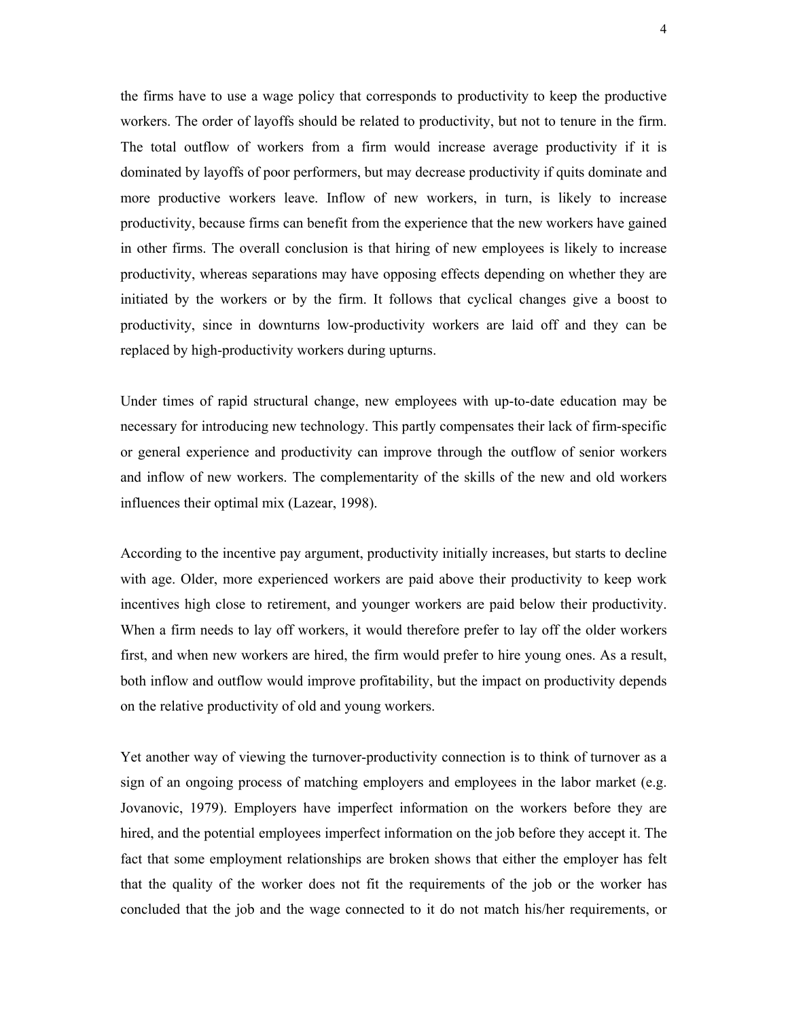the firms have to use a wage policy that corresponds to productivity to keep the productive workers. The order of layoffs should be related to productivity, but not to tenure in the firm. The total outflow of workers from a firm would increase average productivity if it is dominated by layoffs of poor performers, but may decrease productivity if quits dominate and more productive workers leave. Inflow of new workers, in turn, is likely to increase productivity, because firms can benefit from the experience that the new workers have gained in other firms. The overall conclusion is that hiring of new employees is likely to increase productivity, whereas separations may have opposing effects depending on whether they are initiated by the workers or by the firm. It follows that cyclical changes give a boost to productivity, since in downturns low-productivity workers are laid off and they can be replaced by high-productivity workers during upturns.

Under times of rapid structural change, new employees with up-to-date education may be necessary for introducing new technology. This partly compensates their lack of firm-specific or general experience and productivity can improve through the outflow of senior workers and inflow of new workers. The complementarity of the skills of the new and old workers influences their optimal mix (Lazear, 1998).

According to the incentive pay argument, productivity initially increases, but starts to decline with age. Older, more experienced workers are paid above their productivity to keep work incentives high close to retirement, and younger workers are paid below their productivity. When a firm needs to lay off workers, it would therefore prefer to lay off the older workers first, and when new workers are hired, the firm would prefer to hire young ones. As a result, both inflow and outflow would improve profitability, but the impact on productivity depends on the relative productivity of old and young workers.

Yet another way of viewing the turnover-productivity connection is to think of turnover as a sign of an ongoing process of matching employers and employees in the labor market (e.g. Jovanovic, 1979). Employers have imperfect information on the workers before they are hired, and the potential employees imperfect information on the job before they accept it. The fact that some employment relationships are broken shows that either the employer has felt that the quality of the worker does not fit the requirements of the job or the worker has concluded that the job and the wage connected to it do not match his/her requirements, or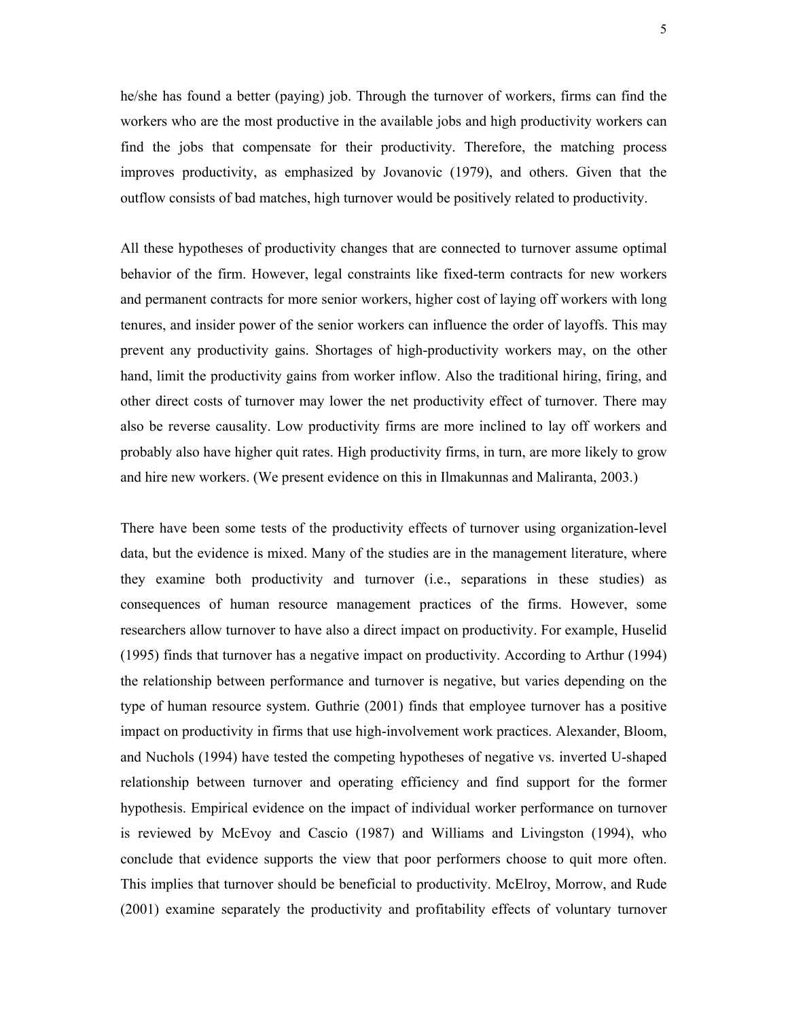he/she has found a better (paying) job. Through the turnover of workers, firms can find the workers who are the most productive in the available jobs and high productivity workers can find the jobs that compensate for their productivity. Therefore, the matching process improves productivity, as emphasized by Jovanovic (1979), and others. Given that the outflow consists of bad matches, high turnover would be positively related to productivity.

All these hypotheses of productivity changes that are connected to turnover assume optimal behavior of the firm. However, legal constraints like fixed-term contracts for new workers and permanent contracts for more senior workers, higher cost of laying off workers with long tenures, and insider power of the senior workers can influence the order of layoffs. This may prevent any productivity gains. Shortages of high-productivity workers may, on the other hand, limit the productivity gains from worker inflow. Also the traditional hiring, firing, and other direct costs of turnover may lower the net productivity effect of turnover. There may also be reverse causality. Low productivity firms are more inclined to lay off workers and probably also have higher quit rates. High productivity firms, in turn, are more likely to grow and hire new workers. (We present evidence on this in Ilmakunnas and Maliranta, 2003.)

There have been some tests of the productivity effects of turnover using organization-level data, but the evidence is mixed. Many of the studies are in the management literature, where they examine both productivity and turnover (i.e., separations in these studies) as consequences of human resource management practices of the firms. However, some researchers allow turnover to have also a direct impact on productivity. For example, Huselid (1995) finds that turnover has a negative impact on productivity. According to Arthur (1994) the relationship between performance and turnover is negative, but varies depending on the type of human resource system. Guthrie (2001) finds that employee turnover has a positive impact on productivity in firms that use high-involvement work practices. Alexander, Bloom, and Nuchols (1994) have tested the competing hypotheses of negative vs. inverted U-shaped relationship between turnover and operating efficiency and find support for the former hypothesis. Empirical evidence on the impact of individual worker performance on turnover is reviewed by McEvoy and Cascio (1987) and Williams and Livingston (1994), who conclude that evidence supports the view that poor performers choose to quit more often. This implies that turnover should be beneficial to productivity. McElroy, Morrow, and Rude (2001) examine separately the productivity and profitability effects of voluntary turnover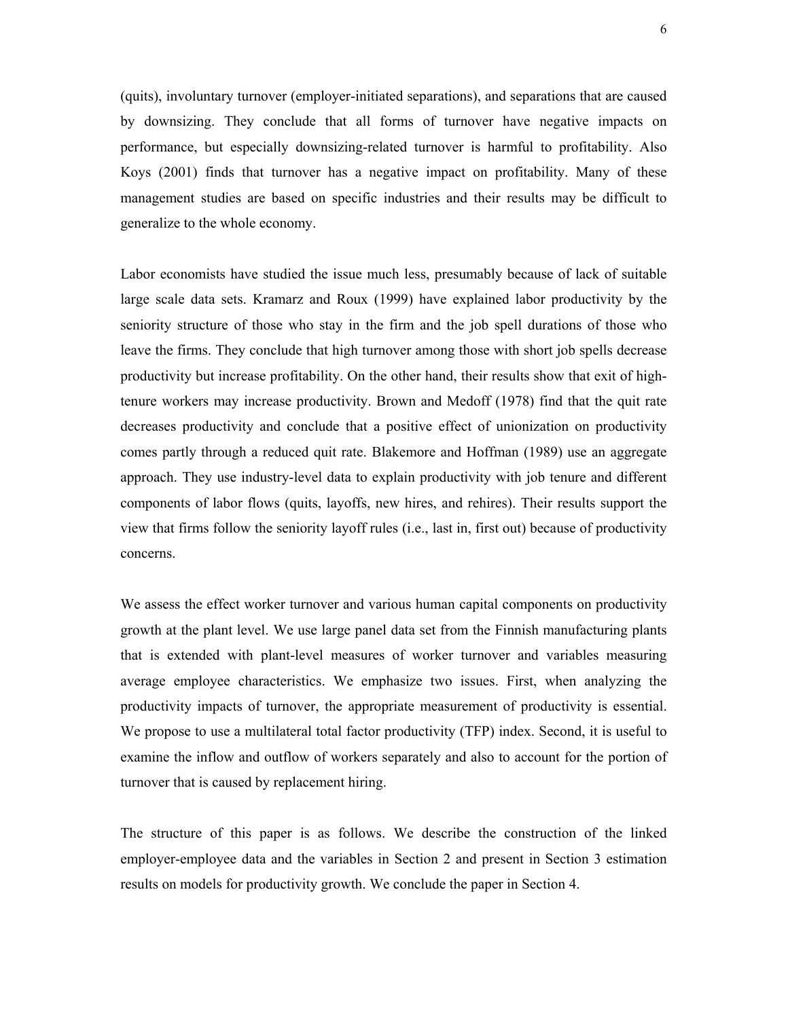(quits), involuntary turnover (employer-initiated separations), and separations that are caused by downsizing. They conclude that all forms of turnover have negative impacts on performance, but especially downsizing-related turnover is harmful to profitability. Also Koys (2001) finds that turnover has a negative impact on profitability. Many of these management studies are based on specific industries and their results may be difficult to generalize to the whole economy.

Labor economists have studied the issue much less, presumably because of lack of suitable large scale data sets. Kramarz and Roux (1999) have explained labor productivity by the seniority structure of those who stay in the firm and the job spell durations of those who leave the firms. They conclude that high turnover among those with short job spells decrease productivity but increase profitability. On the other hand, their results show that exit of hightenure workers may increase productivity. Brown and Medoff (1978) find that the quit rate decreases productivity and conclude that a positive effect of unionization on productivity comes partly through a reduced quit rate. Blakemore and Hoffman (1989) use an aggregate approach. They use industry-level data to explain productivity with job tenure and different components of labor flows (quits, layoffs, new hires, and rehires). Their results support the view that firms follow the seniority layoff rules (i.e., last in, first out) because of productivity concerns.

We assess the effect worker turnover and various human capital components on productivity growth at the plant level. We use large panel data set from the Finnish manufacturing plants that is extended with plant-level measures of worker turnover and variables measuring average employee characteristics. We emphasize two issues. First, when analyzing the productivity impacts of turnover, the appropriate measurement of productivity is essential. We propose to use a multilateral total factor productivity (TFP) index. Second, it is useful to examine the inflow and outflow of workers separately and also to account for the portion of turnover that is caused by replacement hiring.

The structure of this paper is as follows. We describe the construction of the linked employer-employee data and the variables in Section 2 and present in Section 3 estimation results on models for productivity growth. We conclude the paper in Section 4.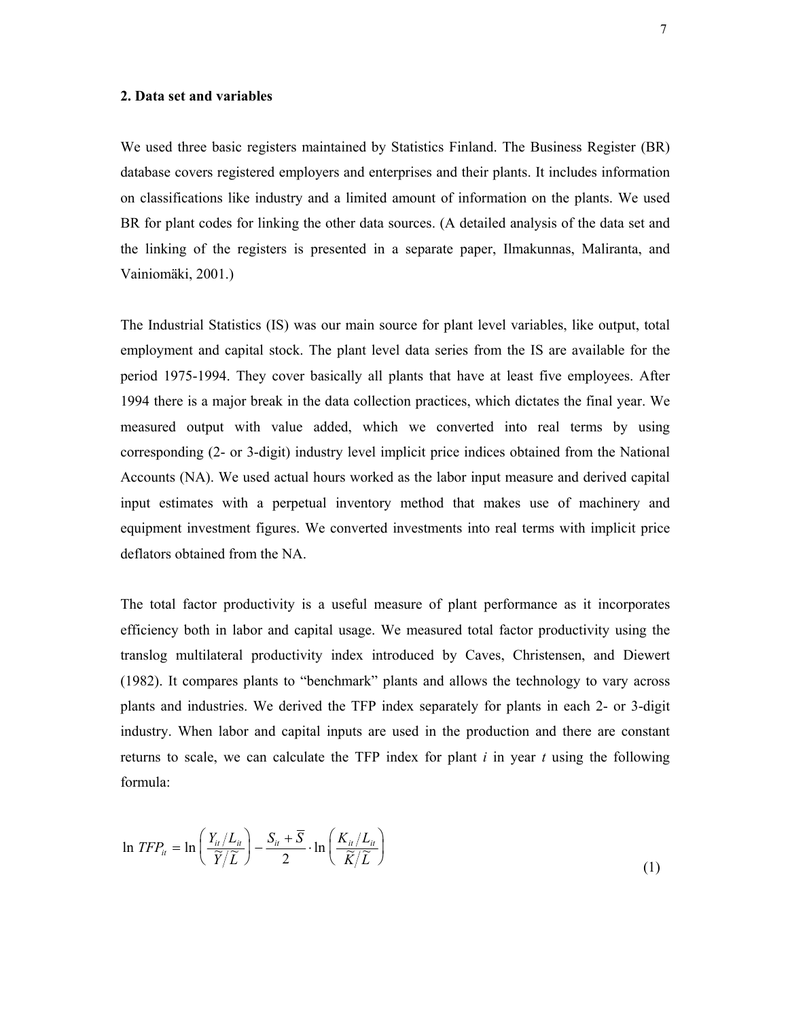#### **2. Data set and variables**

We used three basic registers maintained by Statistics Finland. The Business Register (BR) database covers registered employers and enterprises and their plants. It includes information on classifications like industry and a limited amount of information on the plants. We used BR for plant codes for linking the other data sources. (A detailed analysis of the data set and the linking of the registers is presented in a separate paper, Ilmakunnas, Maliranta, and Vainiomäki, 2001.)

The Industrial Statistics (IS) was our main source for plant level variables, like output, total employment and capital stock. The plant level data series from the IS are available for the period 1975-1994. They cover basically all plants that have at least five employees. After 1994 there is a major break in the data collection practices, which dictates the final year. We measured output with value added, which we converted into real terms by using corresponding (2- or 3-digit) industry level implicit price indices obtained from the National Accounts (NA). We used actual hours worked as the labor input measure and derived capital input estimates with a perpetual inventory method that makes use of machinery and equipment investment figures. We converted investments into real terms with implicit price deflators obtained from the NA.

The total factor productivity is a useful measure of plant performance as it incorporates efficiency both in labor and capital usage. We measured total factor productivity using the translog multilateral productivity index introduced by Caves, Christensen, and Diewert (1982). It compares plants to "benchmark" plants and allows the technology to vary across plants and industries. We derived the TFP index separately for plants in each 2- or 3-digit industry. When labor and capital inputs are used in the production and there are constant returns to scale, we can calculate the TFP index for plant *i* in year *t* using the following formula:

$$
\ln TFP_{ii} = \ln \left( \frac{Y_{ii}/L_{ii}}{\widetilde{Y}/\widetilde{L}} \right) - \frac{S_{ii} + \overline{S}}{2} \cdot \ln \left( \frac{K_{ii}/L_{ii}}{\widetilde{K}/\widetilde{L}} \right) \tag{1}
$$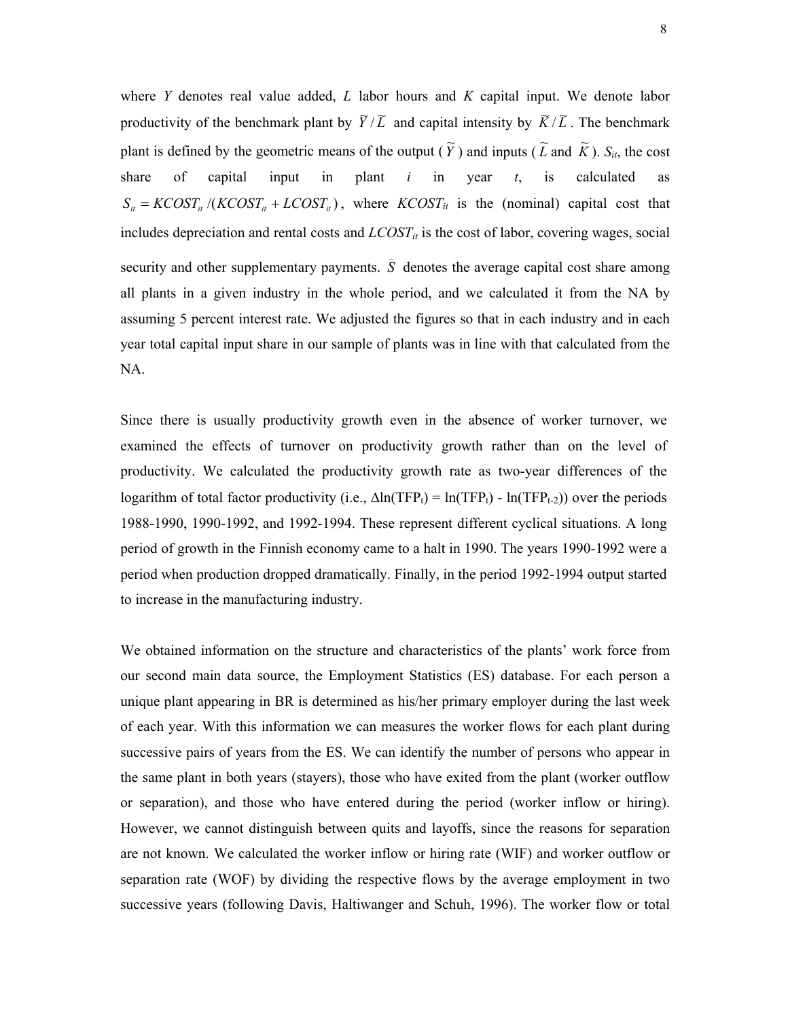where *Y* denotes real value added, *L* labor hours and *K* capital input. We denote labor productivity of the benchmark plant by  $\tilde{Y}/\tilde{L}$  and capital intensity by  $\tilde{K}/\tilde{L}$ . The benchmark plant is defined by the geometric means of the output  $(\widetilde{Y})$  and inputs  $(\widetilde{L}$  and  $\widetilde{K}$ ).  $S_{it}$ , the cost share of capital input in plant *i* in year *t*, is calculated as  $S_{it} = KCOST_{it}/(KCOST_{it} + LCOST_{it})$ , where  $KCOST_{it}$  is the (nominal) capital cost that includes depreciation and rental costs and  $LCOST_{it}$  is the cost of labor, covering wages, social security and other supplementary payments.  $\overline{S}$  denotes the average capital cost share among all plants in a given industry in the whole period, and we calculated it from the NA by assuming 5 percent interest rate. We adjusted the figures so that in each industry and in each year total capital input share in our sample of plants was in line with that calculated from the NA.

Since there is usually productivity growth even in the absence of worker turnover, we examined the effects of turnover on productivity growth rather than on the level of productivity. We calculated the productivity growth rate as two-year differences of the logarithm of total factor productivity (i.e.,  $\Delta \ln(TFP_t) = \ln(TFP_t) - \ln(TFP_{t-2})$ ) over the periods 1988-1990, 1990-1992, and 1992-1994. These represent different cyclical situations. A long period of growth in the Finnish economy came to a halt in 1990. The years 1990-1992 were a period when production dropped dramatically. Finally, in the period 1992-1994 output started to increase in the manufacturing industry.

We obtained information on the structure and characteristics of the plants' work force from our second main data source, the Employment Statistics (ES) database. For each person a unique plant appearing in BR is determined as his/her primary employer during the last week of each year. With this information we can measures the worker flows for each plant during successive pairs of years from the ES. We can identify the number of persons who appear in the same plant in both years (stayers), those who have exited from the plant (worker outflow or separation), and those who have entered during the period (worker inflow or hiring). However, we cannot distinguish between quits and layoffs, since the reasons for separation are not known. We calculated the worker inflow or hiring rate (WIF) and worker outflow or separation rate (WOF) by dividing the respective flows by the average employment in two successive years (following Davis, Haltiwanger and Schuh, 1996). The worker flow or total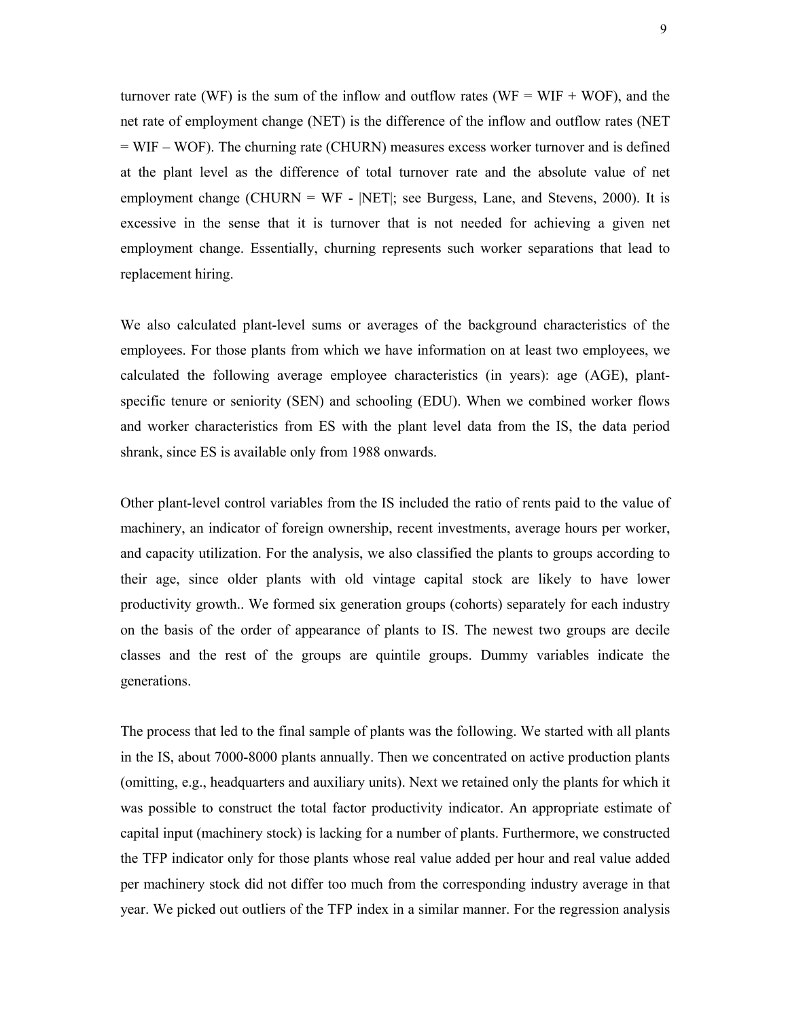turnover rate (WF) is the sum of the inflow and outflow rates (WF = WIF + WOF), and the net rate of employment change (NET) is the difference of the inflow and outflow rates (NET = WIF – WOF). The churning rate (CHURN) measures excess worker turnover and is defined at the plant level as the difference of total turnover rate and the absolute value of net employment change (CHURN = WF - |NET|; see Burgess, Lane, and Stevens, 2000). It is excessive in the sense that it is turnover that is not needed for achieving a given net employment change. Essentially, churning represents such worker separations that lead to replacement hiring.

We also calculated plant-level sums or averages of the background characteristics of the employees. For those plants from which we have information on at least two employees, we calculated the following average employee characteristics (in years): age (AGE), plantspecific tenure or seniority (SEN) and schooling (EDU). When we combined worker flows and worker characteristics from ES with the plant level data from the IS, the data period shrank, since ES is available only from 1988 onwards.

Other plant-level control variables from the IS included the ratio of rents paid to the value of machinery, an indicator of foreign ownership, recent investments, average hours per worker, and capacity utilization. For the analysis, we also classified the plants to groups according to their age, since older plants with old vintage capital stock are likely to have lower productivity growth.. We formed six generation groups (cohorts) separately for each industry on the basis of the order of appearance of plants to IS. The newest two groups are decile classes and the rest of the groups are quintile groups. Dummy variables indicate the generations.

The process that led to the final sample of plants was the following. We started with all plants in the IS, about 7000-8000 plants annually. Then we concentrated on active production plants (omitting, e.g., headquarters and auxiliary units). Next we retained only the plants for which it was possible to construct the total factor productivity indicator. An appropriate estimate of capital input (machinery stock) is lacking for a number of plants. Furthermore, we constructed the TFP indicator only for those plants whose real value added per hour and real value added per machinery stock did not differ too much from the corresponding industry average in that year. We picked out outliers of the TFP index in a similar manner. For the regression analysis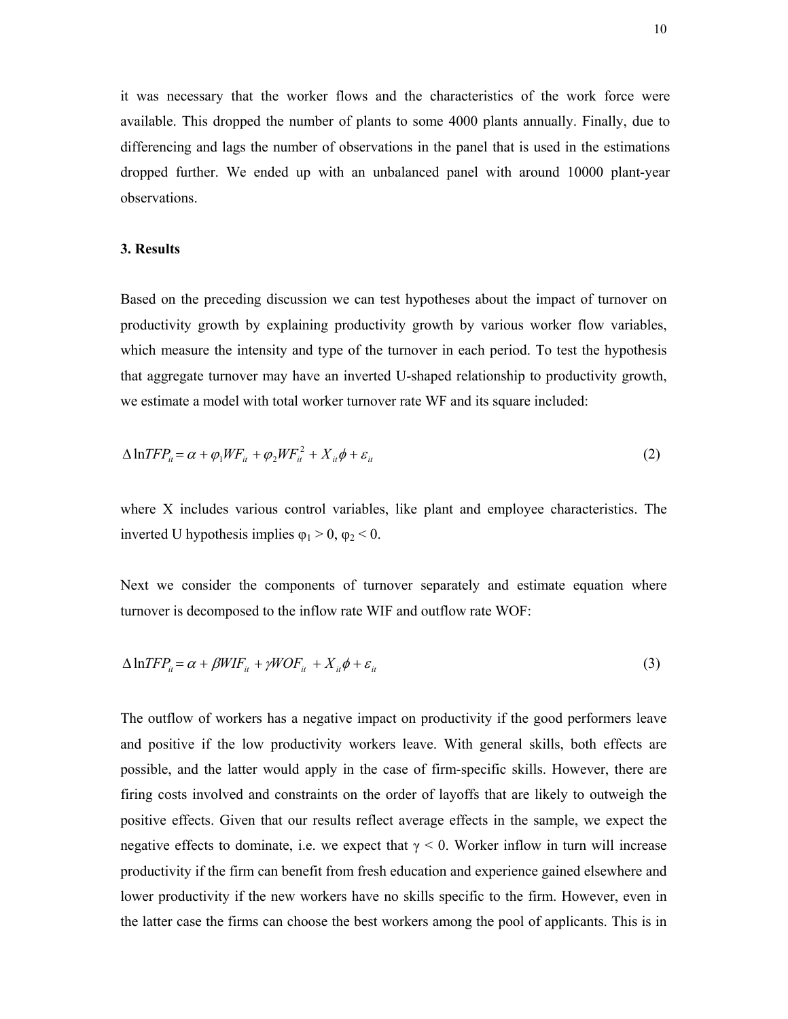it was necessary that the worker flows and the characteristics of the work force were available. This dropped the number of plants to some 4000 plants annually. Finally, due to differencing and lags the number of observations in the panel that is used in the estimations dropped further. We ended up with an unbalanced panel with around 10000 plant-year observations.

## **3. Results**

Based on the preceding discussion we can test hypotheses about the impact of turnover on productivity growth by explaining productivity growth by various worker flow variables, which measure the intensity and type of the turnover in each period. To test the hypothesis that aggregate turnover may have an inverted U-shaped relationship to productivity growth, we estimate a model with total worker turnover rate WF and its square included:

$$
\Delta \ln TFP_{ii} = \alpha + \varphi_1 \, WF_{ii} + \varphi_2 \, WF_{ii}^2 + X_{ii} \, \phi + \varepsilon_{ii} \tag{2}
$$

where X includes various control variables, like plant and employee characteristics. The inverted U hypothesis implies  $φ_1 > 0$ ,  $φ_2 < 0$ .

Next we consider the components of turnover separately and estimate equation where turnover is decomposed to the inflow rate WIF and outflow rate WOF:

$$
\Delta \ln TFP_{ii} = \alpha + \beta WIF_{ii} + \gamma WOF_{ii} + X_{ii} \phi + \varepsilon_{ii}
$$
\n(3)

The outflow of workers has a negative impact on productivity if the good performers leave and positive if the low productivity workers leave. With general skills, both effects are possible, and the latter would apply in the case of firm-specific skills. However, there are firing costs involved and constraints on the order of layoffs that are likely to outweigh the positive effects. Given that our results reflect average effects in the sample, we expect the negative effects to dominate, i.e. we expect that  $\gamma$  < 0. Worker inflow in turn will increase productivity if the firm can benefit from fresh education and experience gained elsewhere and lower productivity if the new workers have no skills specific to the firm. However, even in the latter case the firms can choose the best workers among the pool of applicants. This is in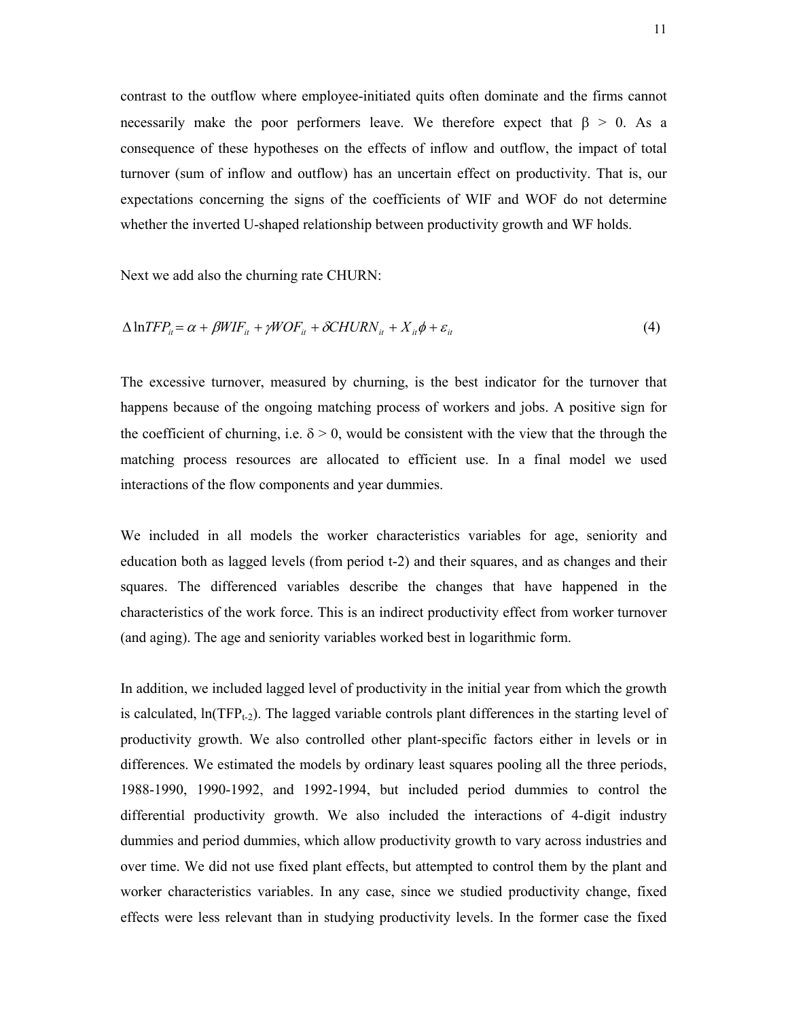contrast to the outflow where employee-initiated quits often dominate and the firms cannot necessarily make the poor performers leave. We therefore expect that  $\beta > 0$ . As a consequence of these hypotheses on the effects of inflow and outflow, the impact of total turnover (sum of inflow and outflow) has an uncertain effect on productivity. That is, our expectations concerning the signs of the coefficients of WIF and WOF do not determine whether the inverted U-shaped relationship between productivity growth and WF holds.

Next we add also the churning rate CHURN:

$$
\Delta \ln TFP_{ii} = \alpha + \beta WIF_{ii} + \gamma WOF_{ii} + \delta CHURN_{ii} + X_{ii}\phi + \varepsilon_{ii}
$$
\n<sup>(4)</sup>

The excessive turnover, measured by churning, is the best indicator for the turnover that happens because of the ongoing matching process of workers and jobs. A positive sign for the coefficient of churning, i.e.  $\delta$  > 0, would be consistent with the view that the through the matching process resources are allocated to efficient use. In a final model we used interactions of the flow components and year dummies.

We included in all models the worker characteristics variables for age, seniority and education both as lagged levels (from period t-2) and their squares, and as changes and their squares. The differenced variables describe the changes that have happened in the characteristics of the work force. This is an indirect productivity effect from worker turnover (and aging). The age and seniority variables worked best in logarithmic form.

In addition, we included lagged level of productivity in the initial year from which the growth is calculated,  $ln(TFP_{t-2})$ . The lagged variable controls plant differences in the starting level of productivity growth. We also controlled other plant-specific factors either in levels or in differences. We estimated the models by ordinary least squares pooling all the three periods, 1988-1990, 1990-1992, and 1992-1994, but included period dummies to control the differential productivity growth. We also included the interactions of 4-digit industry dummies and period dummies, which allow productivity growth to vary across industries and over time. We did not use fixed plant effects, but attempted to control them by the plant and worker characteristics variables. In any case, since we studied productivity change, fixed effects were less relevant than in studying productivity levels. In the former case the fixed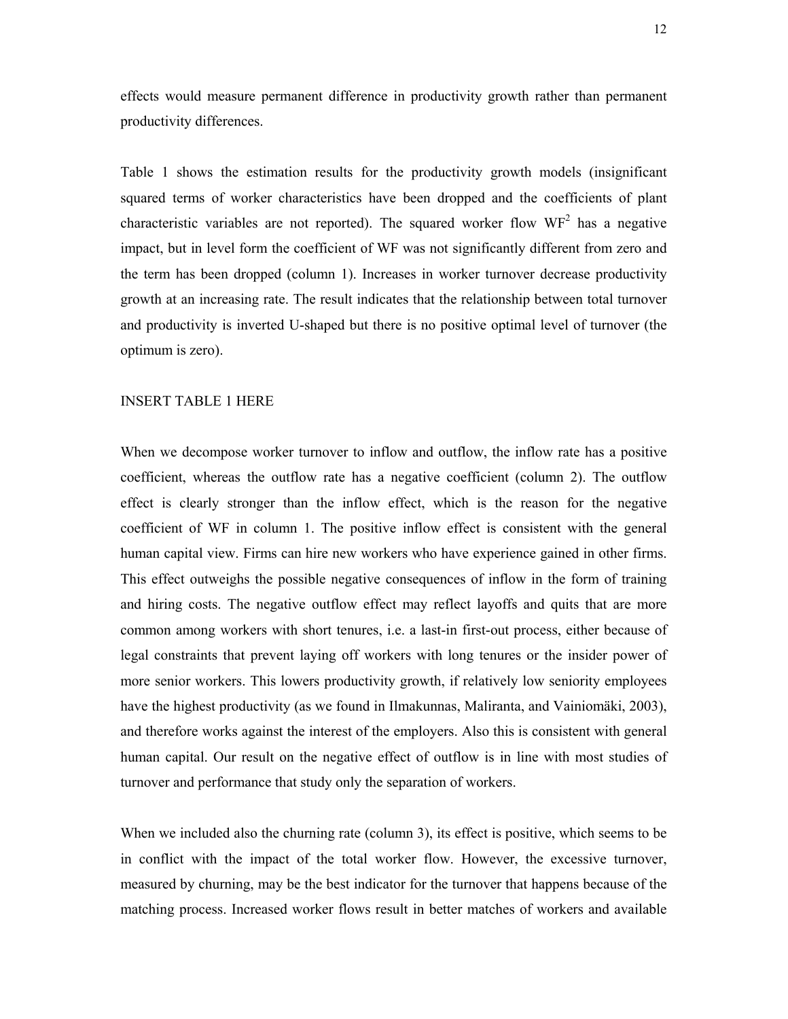effects would measure permanent difference in productivity growth rather than permanent productivity differences.

Table 1 shows the estimation results for the productivity growth models (insignificant squared terms of worker characteristics have been dropped and the coefficients of plant characteristic variables are not reported). The squared worker flow  $WF<sup>2</sup>$  has a negative impact, but in level form the coefficient of WF was not significantly different from zero and the term has been dropped (column 1). Increases in worker turnover decrease productivity growth at an increasing rate. The result indicates that the relationship between total turnover and productivity is inverted U-shaped but there is no positive optimal level of turnover (the optimum is zero).

#### INSERT TABLE 1 HERE

When we decompose worker turnover to inflow and outflow, the inflow rate has a positive coefficient, whereas the outflow rate has a negative coefficient (column 2). The outflow effect is clearly stronger than the inflow effect, which is the reason for the negative coefficient of WF in column 1. The positive inflow effect is consistent with the general human capital view. Firms can hire new workers who have experience gained in other firms. This effect outweighs the possible negative consequences of inflow in the form of training and hiring costs. The negative outflow effect may reflect layoffs and quits that are more common among workers with short tenures, i.e. a last-in first-out process, either because of legal constraints that prevent laying off workers with long tenures or the insider power of more senior workers. This lowers productivity growth, if relatively low seniority employees have the highest productivity (as we found in Ilmakunnas, Maliranta, and Vainiomäki, 2003), and therefore works against the interest of the employers. Also this is consistent with general human capital. Our result on the negative effect of outflow is in line with most studies of turnover and performance that study only the separation of workers.

When we included also the churning rate (column 3), its effect is positive, which seems to be in conflict with the impact of the total worker flow. However, the excessive turnover, measured by churning, may be the best indicator for the turnover that happens because of the matching process. Increased worker flows result in better matches of workers and available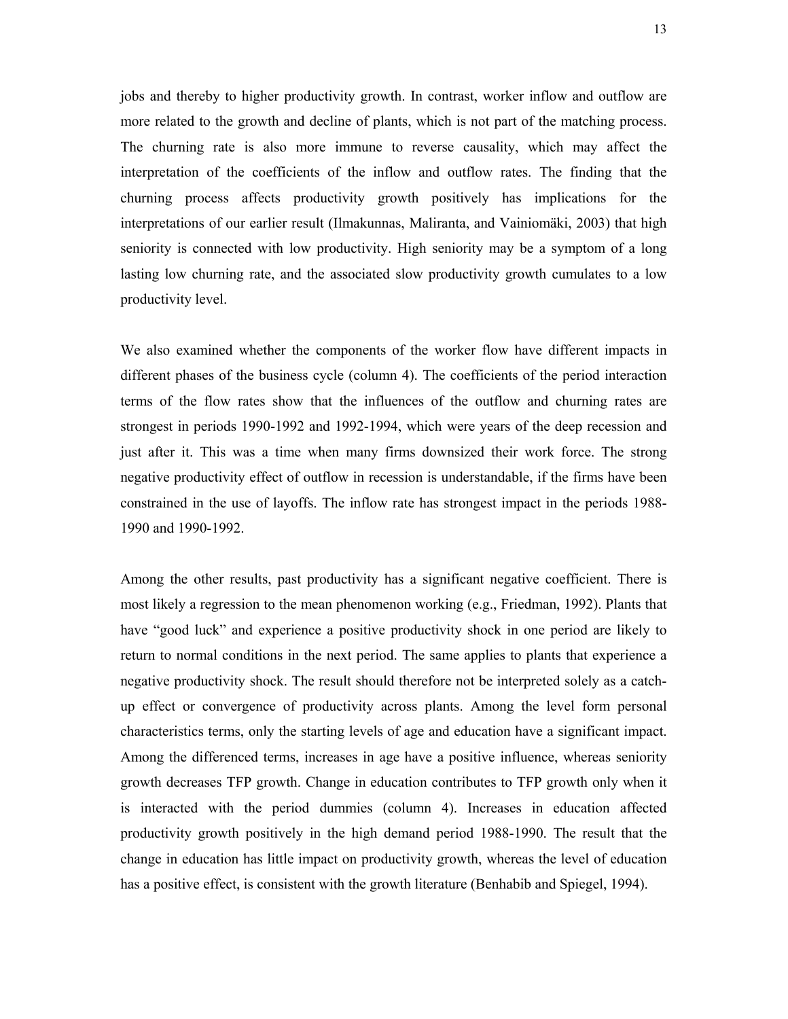jobs and thereby to higher productivity growth. In contrast, worker inflow and outflow are more related to the growth and decline of plants, which is not part of the matching process. The churning rate is also more immune to reverse causality, which may affect the interpretation of the coefficients of the inflow and outflow rates. The finding that the churning process affects productivity growth positively has implications for the interpretations of our earlier result (Ilmakunnas, Maliranta, and Vainiomäki, 2003) that high seniority is connected with low productivity. High seniority may be a symptom of a long lasting low churning rate, and the associated slow productivity growth cumulates to a low productivity level.

We also examined whether the components of the worker flow have different impacts in different phases of the business cycle (column 4). The coefficients of the period interaction terms of the flow rates show that the influences of the outflow and churning rates are strongest in periods 1990-1992 and 1992-1994, which were years of the deep recession and just after it. This was a time when many firms downsized their work force. The strong negative productivity effect of outflow in recession is understandable, if the firms have been constrained in the use of layoffs. The inflow rate has strongest impact in the periods 1988- 1990 and 1990-1992.

Among the other results, past productivity has a significant negative coefficient. There is most likely a regression to the mean phenomenon working (e.g., Friedman, 1992). Plants that have "good luck" and experience a positive productivity shock in one period are likely to return to normal conditions in the next period. The same applies to plants that experience a negative productivity shock. The result should therefore not be interpreted solely as a catchup effect or convergence of productivity across plants. Among the level form personal characteristics terms, only the starting levels of age and education have a significant impact. Among the differenced terms, increases in age have a positive influence, whereas seniority growth decreases TFP growth. Change in education contributes to TFP growth only when it is interacted with the period dummies (column 4). Increases in education affected productivity growth positively in the high demand period 1988-1990. The result that the change in education has little impact on productivity growth, whereas the level of education has a positive effect, is consistent with the growth literature (Benhabib and Spiegel, 1994).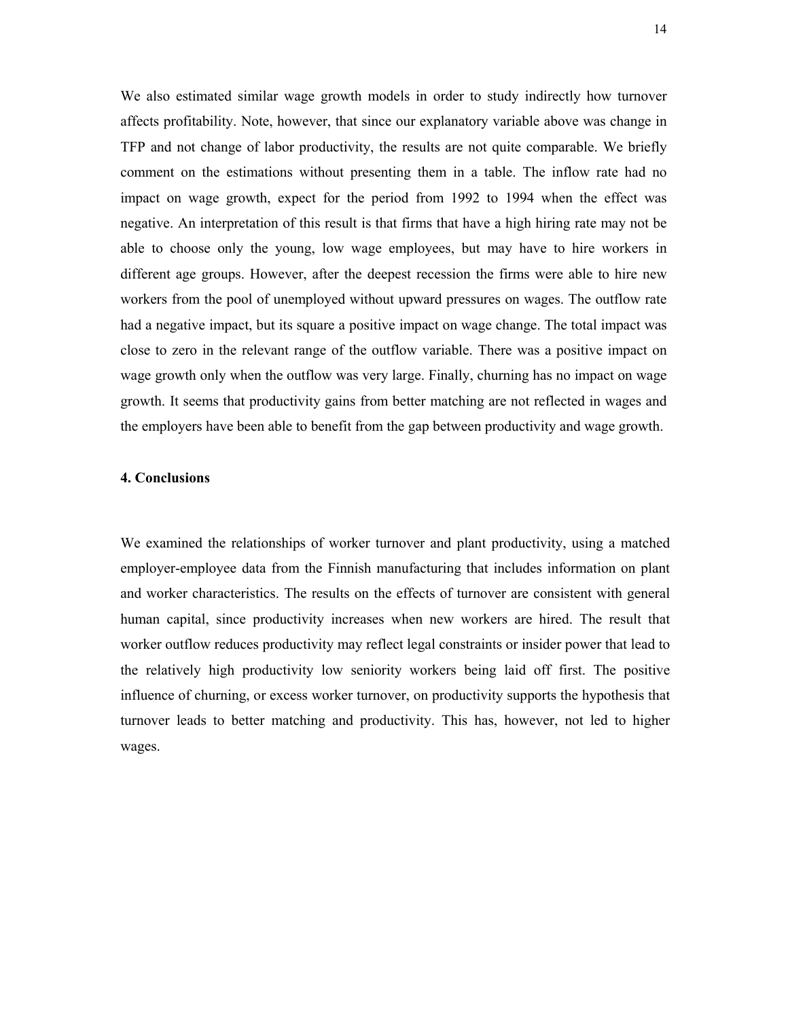We also estimated similar wage growth models in order to study indirectly how turnover affects profitability. Note, however, that since our explanatory variable above was change in TFP and not change of labor productivity, the results are not quite comparable. We briefly comment on the estimations without presenting them in a table. The inflow rate had no impact on wage growth, expect for the period from 1992 to 1994 when the effect was negative. An interpretation of this result is that firms that have a high hiring rate may not be able to choose only the young, low wage employees, but may have to hire workers in different age groups. However, after the deepest recession the firms were able to hire new workers from the pool of unemployed without upward pressures on wages. The outflow rate had a negative impact, but its square a positive impact on wage change. The total impact was close to zero in the relevant range of the outflow variable. There was a positive impact on wage growth only when the outflow was very large. Finally, churning has no impact on wage growth. It seems that productivity gains from better matching are not reflected in wages and the employers have been able to benefit from the gap between productivity and wage growth.

## **4. Conclusions**

We examined the relationships of worker turnover and plant productivity, using a matched employer-employee data from the Finnish manufacturing that includes information on plant and worker characteristics. The results on the effects of turnover are consistent with general human capital, since productivity increases when new workers are hired. The result that worker outflow reduces productivity may reflect legal constraints or insider power that lead to the relatively high productivity low seniority workers being laid off first. The positive influence of churning, or excess worker turnover, on productivity supports the hypothesis that turnover leads to better matching and productivity. This has, however, not led to higher wages.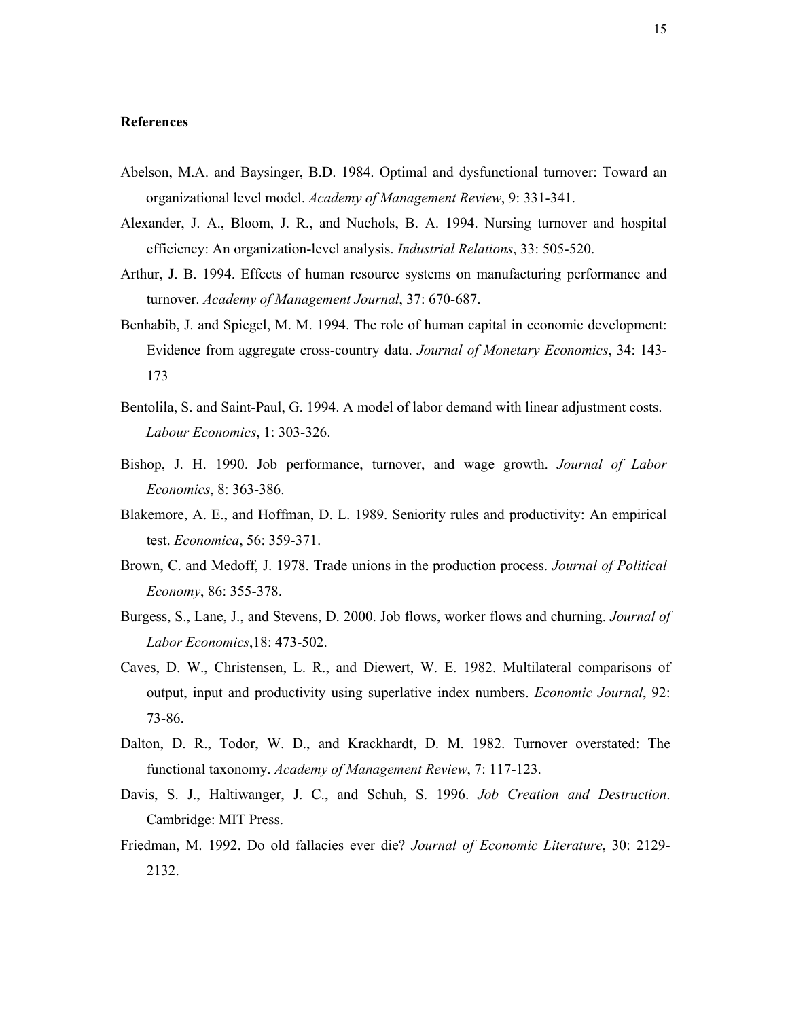#### **References**

- Abelson, M.A. and Baysinger, B.D. 1984. Optimal and dysfunctional turnover: Toward an organizational level model. *Academy of Management Review*, 9: 331-341.
- Alexander, J. A., Bloom, J. R., and Nuchols, B. A. 1994. Nursing turnover and hospital efficiency: An organization-level analysis. *Industrial Relations*, 33: 505-520.
- Arthur, J. B. 1994. Effects of human resource systems on manufacturing performance and turnover. *Academy of Management Journal*, 37: 670-687.
- Benhabib, J. and Spiegel, M. M. 1994. The role of human capital in economic development: Evidence from aggregate cross-country data. *Journal of Monetary Economics*, 34: 143- 173
- Bentolila, S. and Saint-Paul, G. 1994. A model of labor demand with linear adjustment costs. *Labour Economics*, 1: 303-326.
- Bishop, J. H. 1990. Job performance, turnover, and wage growth. *Journal of Labor Economics*, 8: 363-386.
- Blakemore, A. E., and Hoffman, D. L. 1989. Seniority rules and productivity: An empirical test. *Economica*, 56: 359-371.
- Brown, C. and Medoff, J. 1978. Trade unions in the production process. *Journal of Political Economy*, 86: 355-378.
- Burgess, S., Lane, J., and Stevens, D. 2000. Job flows, worker flows and churning. *Journal of Labor Economics*,18: 473-502.
- Caves, D. W., Christensen, L. R., and Diewert, W. E. 1982. Multilateral comparisons of output, input and productivity using superlative index numbers. *Economic Journal*, 92: 73-86.
- Dalton, D. R., Todor, W. D., and Krackhardt, D. M. 1982. Turnover overstated: The functional taxonomy. *Academy of Management Review*, 7: 117-123.
- Davis, S. J., Haltiwanger, J. C., and Schuh, S. 1996. *Job Creation and Destruction*. Cambridge: MIT Press.
- Friedman, M. 1992. Do old fallacies ever die? *Journal of Economic Literature*, 30: 2129- 2132.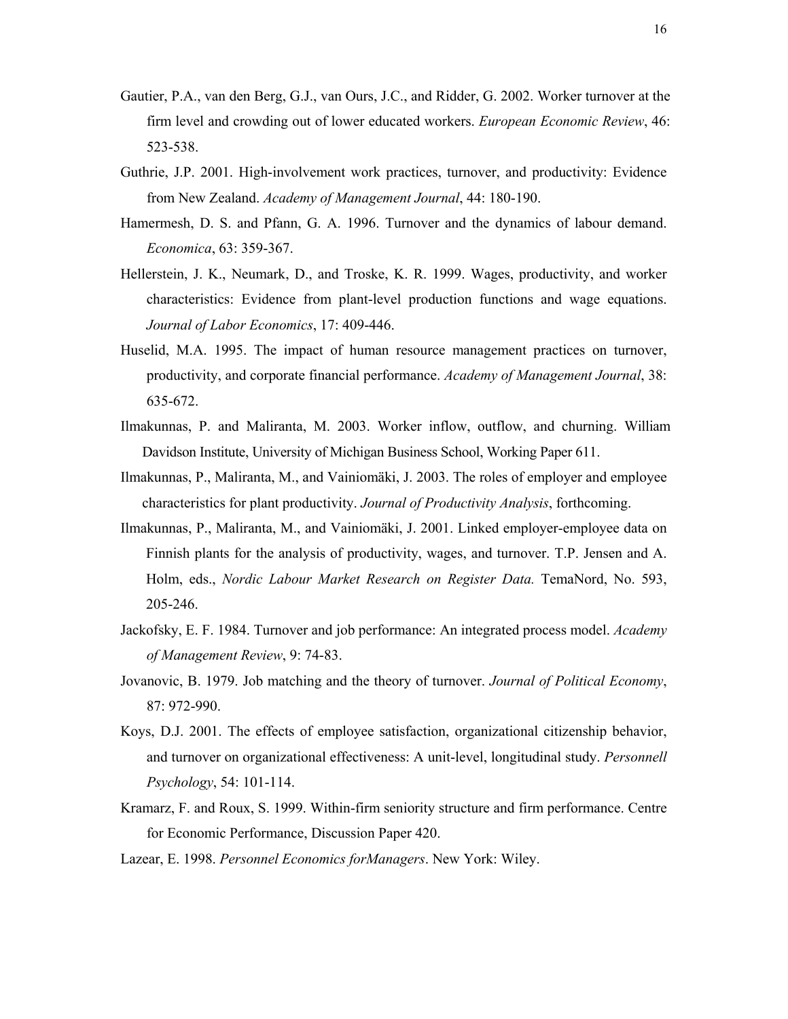- Gautier, P.A., van den Berg, G.J., van Ours, J.C., and Ridder, G. 2002. Worker turnover at the firm level and crowding out of lower educated workers. *European Economic Review*, 46: 523-538.
- Guthrie, J.P. 2001. High-involvement work practices, turnover, and productivity: Evidence from New Zealand. *Academy of Management Journal*, 44: 180-190.
- Hamermesh, D. S. and Pfann, G. A. 1996. Turnover and the dynamics of labour demand. *Economica*, 63: 359-367.
- Hellerstein, J. K., Neumark, D., and Troske, K. R. 1999. Wages, productivity, and worker characteristics: Evidence from plant-level production functions and wage equations. *Journal of Labor Economics*, 17: 409-446.
- Huselid, M.A. 1995. The impact of human resource management practices on turnover, productivity, and corporate financial performance. *Academy of Management Journal*, 38: 635-672.
- Ilmakunnas, P. and Maliranta, M. 2003. Worker inflow, outflow, and churning. William Davidson Institute, University of Michigan Business School, Working Paper 611.
- Ilmakunnas, P., Maliranta, M., and Vainiomäki, J. 2003. The roles of employer and employee characteristics for plant productivity. *Journal of Productivity Analysis*, forthcoming.
- Ilmakunnas, P., Maliranta, M., and Vainiomäki, J. 2001. Linked employer-employee data on Finnish plants for the analysis of productivity, wages, and turnover. T.P. Jensen and A. Holm, eds., *Nordic Labour Market Research on Register Data.* TemaNord, No. 593, 205-246.
- Jackofsky, E. F. 1984. Turnover and job performance: An integrated process model. *Academy of Management Review*, 9: 74-83.
- Jovanovic, B. 1979. Job matching and the theory of turnover. *Journal of Political Economy*, 87: 972-990.
- Koys, D.J. 2001. The effects of employee satisfaction, organizational citizenship behavior, and turnover on organizational effectiveness: A unit-level, longitudinal study. *Personnell Psychology*, 54: 101-114.
- Kramarz, F. and Roux, S. 1999. Within-firm seniority structure and firm performance. Centre for Economic Performance, Discussion Paper 420.
- Lazear, E. 1998. *Personnel Economics forManagers*. New York: Wiley.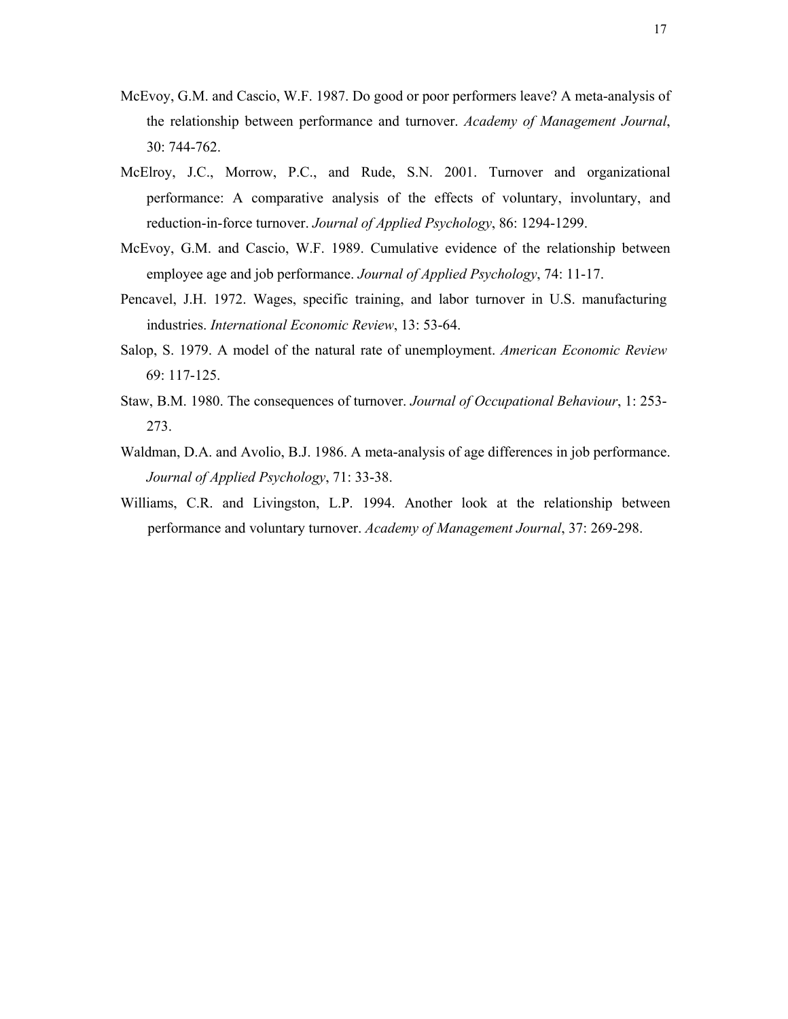- McEvoy, G.M. and Cascio, W.F. 1987. Do good or poor performers leave? A meta-analysis of the relationship between performance and turnover. *Academy of Management Journal*, 30: 744-762.
- McElroy, J.C., Morrow, P.C., and Rude, S.N. 2001. Turnover and organizational performance: A comparative analysis of the effects of voluntary, involuntary, and reduction-in-force turnover. *Journal of Applied Psychology*, 86: 1294-1299.
- McEvoy, G.M. and Cascio, W.F. 1989. Cumulative evidence of the relationship between employee age and job performance. *Journal of Applied Psychology*, 74: 11-17.
- Pencavel, J.H. 1972. Wages, specific training, and labor turnover in U.S. manufacturing industries. *International Economic Review*, 13: 53-64.
- Salop, S. 1979. A model of the natural rate of unemployment. *American Economic Review* 69: 117-125.
- Staw, B.M. 1980. The consequences of turnover. *Journal of Occupational Behaviour*, 1: 253- 273.
- Waldman, D.A. and Avolio, B.J. 1986. A meta-analysis of age differences in job performance. *Journal of Applied Psychology*, 71: 33-38.
- Williams, C.R. and Livingston, L.P. 1994. Another look at the relationship between performance and voluntary turnover. *Academy of Management Journal*, 37: 269-298.